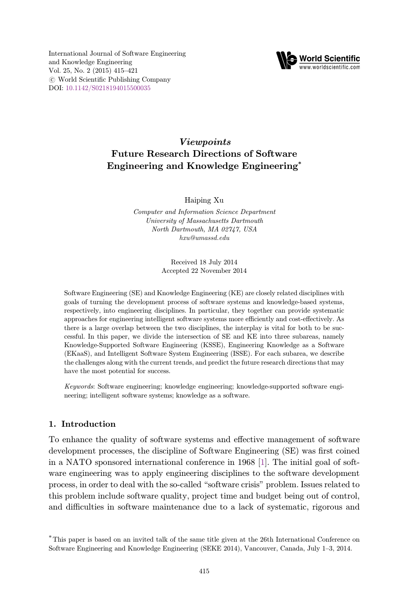International Journal of Software Engineering and Knowledge Engineering Vol. 25, No. 2 (2015) 415–421  $\odot$  World Scientific Publishing Company DOI: 10.1142/S0218194015500035



# Viewpoints Future Research Directions of Software Engineering and Knowledge Engineering<sup>\*</sup>

Haiping Xu

Computer and Information Science Department University of Massachusetts Dartmouth North Dartmouth, MA 02747, USA hxu@umassd.edu

> Received 18 July 2014 Accepted 22 November 2014

Software Engineering (SE) and Knowledge Engineering (KE) are closely related disciplines with goals of turning the development process of software systems and knowledge-based systems, respectively, into engineering disciplines. In particular, they together can provide systematic approaches for engineering intelligent software systems more efficiently and cost-effectively. As there is a large overlap between the two disciplines, the interplay is vital for both to be successful. In this paper, we divide the intersection of SE and KE into three subareas, namely Knowledge-Supported Software Engineering (KSSE), Engineering Knowledge as a Software (EKaaS), and Intelligent Software System Engineering (ISSE). For each subarea, we describe the challenges along with the current trends, and predict the future research directions that may have the most potential for success.

Keywords: Software engineering; knowledge engineering; knowledge-supported software engineering; intelligent software systems; knowledge as a software.

# 1. Introduction

To enhance the quality of software systems and effective management of software development processes, the discipline of Software Engineering (SE) was first coined in a NATO sponsored international conference in 1968 [1]. The initial goal of software engineering was to apply engineering disciplines to the software development process, in order to deal with the so-called "software crisis" problem. Issues related to this problem include software quality, project time and budget being out of control, and difficulties in software maintenance due to a lack of systematic, rigorous and

<sup>\*</sup>This paper is based on an invited talk of the same title given at the 26th International Conference on Software Engineering and Knowledge Engineering (SEKE 2014), Vancouver, Canada, July 1–3, 2014.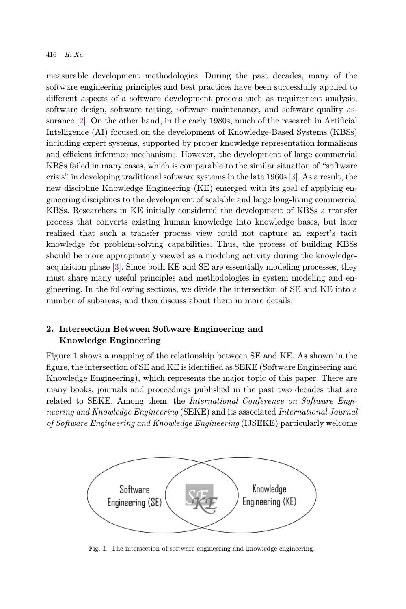#### 416 H. Xu

measurable development methodologies. During the past decades, many of the software engineering principles and best practices have been successfully applied to different aspects of a software development process such as requirement analysis, software design, software testing, software maintenance, and software quality assurance  $[2]$ . On the other hand, in the early 1980s, much of the research in Artificial Intelligence (AI) focused on the development of Knowledge-Based Systems (KBSs) including expert systems, supported by proper knowledge representation formalisms and efficient inference mechanisms. However, the development of large commercial KBSs failed in many cases, which is comparable to the similar situation of "software" crisis" in developing traditional software systems in the late 1960s [3]. As a result, the new discipline Knowledge Engineering (KE) emerged with its goal of applying engineering disciplines to the development of scalable and large long-living commercial KBSs. Researchers in KE initially considered the development of KBSs a transfer process that converts existing human knowledge into knowledge bases, but later realized that such a transfer process view could not capture an expert's tacit knowledge for problem-solving capabilities. Thus, the process of building KBSs should be more appropriately viewed as a modeling activity during the knowledgeacquisition phase [3]. Since both KE and SE are essentially modeling processes, they must share many useful principles and methodologies in system modeling and engineering. In the following sections, we divide the intersection of SE and KE into a number of subareas, and then discuss about them in more details.

# 2. Intersection Between Software Engineering and Knowledge Engineering

Figure 1 shows a mapping of the relationship between SE and KE. As shown in the figure, the intersection of SE and KE is identified as SEKE (Software Engineering and Knowledge Engineering), which represents the major topic of this paper. There are many books, journals and proceedings published in the past two decades that are related to SEKE. Among them, the International Conference on Software Engineering and Knowledge Engineering (SEKE) and its associated International Journal of Software Engineering and Knowledge Engineering (IJSEKE) particularly welcome



Fig. 1. The intersection of software engineering and knowledge engineering.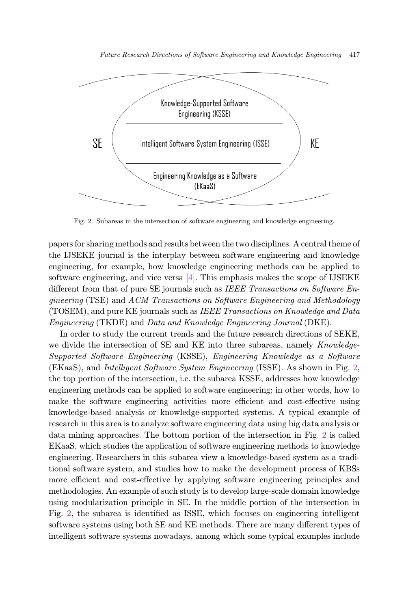

Fig. 2. Subareas in the intersection of software engineering and knowledge engineering.

papers for sharing methods and results between the two disciplines. A central theme of the IJSEKE journal is the interplay between software engineering and knowledge engineering, for example, how knowledge engineering methods can be applied to software engineering, and vice versa [4]. This emphasis makes the scope of IJSEKE different from that of pure SE journals such as *IEEE Transactions on Software En*gineering (TSE) and ACM Transactions on Software Engineering and Methodology (TOSEM), and pure KE journals such as IEEE Transactions on Knowledge and Data Engineering (TKDE) and Data and Knowledge Engineering Journal (DKE).

In order to study the current trends and the future research directions of SEKE, we divide the intersection of SE and KE into three subareas, namely Knowledge-Supported Software Engineering (KSSE), Engineering Knowledge as a Software (EKaaS), and Intelligent Software System Engineering (ISSE). As shown in Fig. 2, the top portion of the intersection, i.e. the subarea KSSE, addresses how knowledge engineering methods can be applied to software engineering; in other words, how to make the software engineering activities more efficient and cost-effective using knowledge-based analysis or knowledge-supported systems. A typical example of research in this area is to analyze software engineering data using big data analysis or data mining approaches. The bottom portion of the intersection in Fig. 2 is called EKaaS, which studies the application of software engineering methods to knowledge engineering. Researchers in this subarea view a knowledge-based system as a traditional software system, and studies how to make the development process of KBSs more efficient and cost-effective by applying software engineering principles and methodologies. An example of such study is to develop large-scale domain knowledge using modularization principle in SE. In the middle portion of the intersection in Fig. 2, the subarea is identified as ISSE, which focuses on engineering intelligent software systems using both SE and KE methods. There are many different types of intelligent software systems nowadays, among which some typical examples include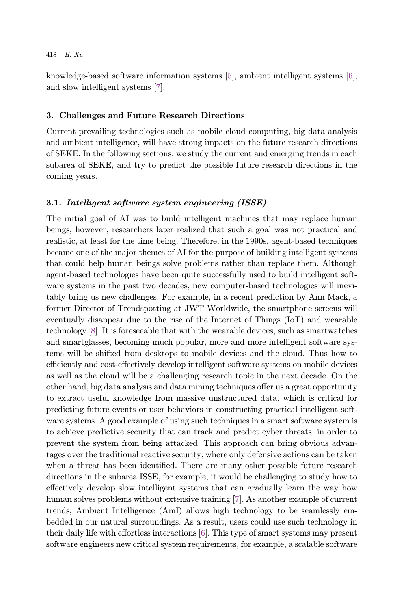#### 418 H. Xu

knowledge-based software information systems [5], ambient intelligent systems [6], and slow intelligent systems [7].

# 3. Challenges and Future Research Directions

Current prevailing technologies such as mobile cloud computing, big data analysis and ambient intelligence, will have strong impacts on the future research directions of SEKE. In the following sections, we study the current and emerging trends in each subarea of SEKE, and try to predict the possible future research directions in the coming years.

# 3.1. Intelligent software system engineering (ISSE)

The initial goal of AI was to build intelligent machines that may replace human beings; however, researchers later realized that such a goal was not practical and realistic, at least for the time being. Therefore, in the 1990s, agent-based techniques became one of the major themes of AI for the purpose of building intelligent systems that could help human beings solve problems rather than replace them. Although agent-based technologies have been quite successfully used to build intelligent software systems in the past two decades, new computer-based technologies will inevitably bring us new challenges. For example, in a recent prediction by Ann Mack, a former Director of Trendspotting at JWT Worldwide, the smartphone screens will eventually disappear due to the rise of the Internet of Things (IoT) and wearable technology [8]. It is foreseeable that with the wearable devices, such as smartwatches and smartglasses, becoming much popular, more and more intelligent software systems will be shifted from desktops to mobile devices and the cloud. Thus how to efficiently and cost-effectively develop intelligent software systems on mobile devices as well as the cloud will be a challenging research topic in the next decade. On the other hand, big data analysis and data mining techniques offer us a great opportunity to extract useful knowledge from massive unstructured data, which is critical for predicting future events or user behaviors in constructing practical intelligent software systems. A good example of using such techniques in a smart software system is to achieve predictive security that can track and predict cyber threats, in order to prevent the system from being attacked. This approach can bring obvious advantages over the traditional reactive security, where only defensive actions can be taken when a threat has been identified. There are many other possible future research directions in the subarea ISSE, for example, it would be challenging to study how to effectively develop slow intelligent systems that can gradually learn the way how human solves problems without extensive training [7]. As another example of current trends, Ambient Intelligence (AmI) allows high technology to be seamlessly embedded in our natural surroundings. As a result, users could use such technology in their daily life with effortless interactions  $[6]$ . This type of smart systems may present software engineers new critical system requirements, for example, a scalable software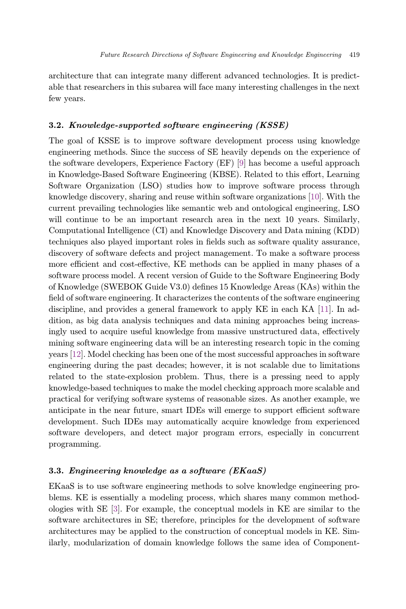architecture that can integrate many different advanced technologies. It is predictable that researchers in this subarea will face many interesting challenges in the next few years.

## 3.2. Knowledge-supported software engineering (KSSE)

The goal of KSSE is to improve software development process using knowledge engineering methods. Since the success of SE heavily depends on the experience of the software developers, Experience Factory (EF) [9] has become a useful approach in Knowledge-Based Software Engineering (KBSE). Related to this effort, Learning Software Organization (LSO) studies how to improve software process through knowledge discovery, sharing and reuse within software organizations [10]. With the current prevailing technologies like semantic web and ontological engineering, LSO will continue to be an important research area in the next 10 years. Similarly, Computational Intelligence (CI) and Knowledge Discovery and Data mining (KDD) techniques also played important roles in fields such as software quality assurance, discovery of software defects and project management. To make a software process more efficient and cost-effective, KE methods can be applied in many phases of a software process model. A recent version of Guide to the Software Engineering Body of Knowledge (SWEBOK Guide V3.0) defines 15 Knowledge Areas (KAs) within the field of software engineering. It characterizes the contents of the software engineering discipline, and provides a general framework to apply KE in each KA [11]. In addition, as big data analysis techniques and data mining approaches being increasingly used to acquire useful knowledge from massive unstructured data, effectively mining software engineering data will be an interesting research topic in the coming years [12]. Model checking has been one of the most successful approaches in software engineering during the past decades; however, it is not scalable due to limitations related to the state-explosion problem. Thus, there is a pressing need to apply knowledge-based techniques to make the model checking approach more scalable and practical for verifying software systems of reasonable sizes. As another example, we anticipate in the near future, smart IDEs will emerge to support efficient software development. Such IDEs may automatically acquire knowledge from experienced software developers, and detect major program errors, especially in concurrent programming.

#### 3.3. Engineering knowledge as a software (EKaaS)

EKaaS is to use software engineering methods to solve knowledge engineering problems. KE is essentially a modeling process, which shares many common methodologies with SE [3]. For example, the conceptual models in KE are similar to the software architectures in SE; therefore, principles for the development of software architectures may be applied to the construction of conceptual models in KE. Similarly, modularization of domain knowledge follows the same idea of Component-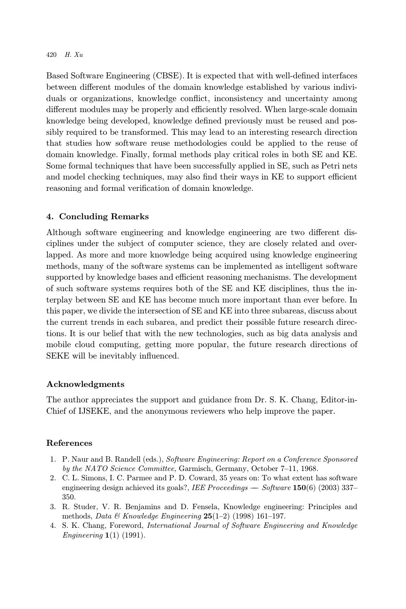#### 420 H. Xu

Based Software Engineering (CBSE). It is expected that with well-defined interfaces between different modules of the domain knowledge established by various individuals or organizations, knowledge conflict, inconsistency and uncertainty among different modules may be properly and efficiently resolved. When large-scale domain knowledge being developed, knowledge defined previously must be reused and possibly required to be transformed. This may lead to an interesting research direction that studies how software reuse methodologies could be applied to the reuse of domain knowledge. Finally, formal methods play critical roles in both SE and KE. Some formal techniques that have been successfully applied in SE, such as Petri nets and model checking techniques, may also find their ways in KE to support efficient reasoning and formal verification of domain knowledge.

# 4. Concluding Remarks

Although software engineering and knowledge engineering are two different disciplines under the subject of computer science, they are closely related and overlapped. As more and more knowledge being acquired using knowledge engineering methods, many of the software systems can be implemented as intelligent software supported by knowledge bases and efficient reasoning mechanisms. The development of such software systems requires both of the SE and KE disciplines, thus the interplay between SE and KE has become much more important than ever before. In this paper, we divide the intersection of SE and KE into three subareas, discuss about the current trends in each subarea, and predict their possible future research directions. It is our belief that with the new technologies, such as big data analysis and mobile cloud computing, getting more popular, the future research directions of SEKE will be inevitably influenced.

## Acknowledgments

The author appreciates the support and guidance from Dr. S. K. Chang, Editor-in-Chief of IJSEKE, and the anonymous reviewers who help improve the paper.

## References

- 1. P. Naur and B. Randell (eds.), Software Engineering: Report on a Conference Sponsored by the NATO Science Committee, Garmisch, Germany, October 7–11, 1968.
- 2. C. L. Simons, I. C. Parmee and P. D. Coward, 35 years on: To what extent has software engineering design achieved its goals?, *IEE Proceedings* — Software  $150(6)$  (2003) 337– 350.
- 3. R. Studer, V. R. Benjamins and D. Fensela, Knowledge engineering: Principles and methods, Data & Knowledge Engineering  $25(1-2)$  (1998) 161-197.
- 4. S. K. Chang, Foreword, International Journal of Software Engineering and Knowledge Engineering  $1(1)$  (1991).